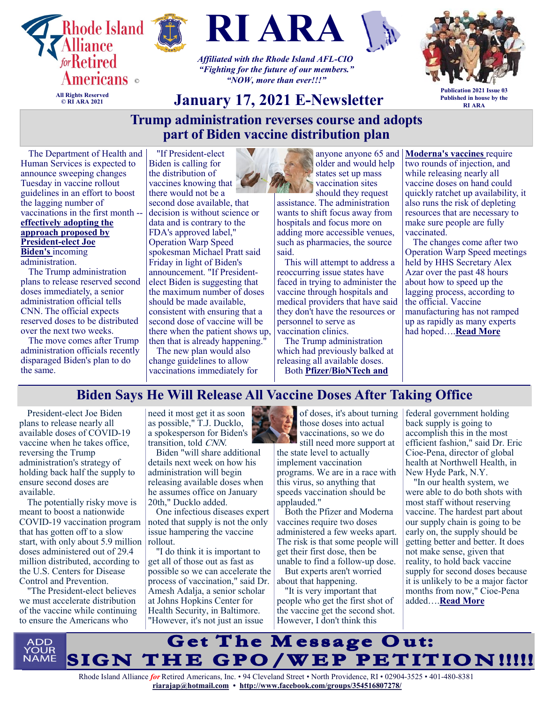

**© RI ARA 2021**





*Affiliated with the Rhode Island AFL-CIO "Fighting for the future of our members." "NOW, more than ever!!!"*



**Publication 2021 Issue 03 Published in house by the RI ARA**

## **January 17, 2021 E-Newsletter**

## **Trump administration reverses course and adopts part of Biden vaccine distribution plan**

The Department of Health and Human Services is expected to announce sweeping changes Tuesday in vaccine rollout guidelines in an effort to boost the lagging number of vaccinations in the first month - **[effectively adopting the](https://www.cnn.com/2021/01/08/politics/biden-vaccine-strategy/index.html)  [approach proposed by](https://www.cnn.com/2021/01/08/politics/biden-vaccine-strategy/index.html)  [President](https://www.cnn.com/2021/01/08/politics/biden-vaccine-strategy/index.html)-elect Joe [Biden's](https://www.cnn.com/2021/01/08/politics/biden-vaccine-strategy/index.html)** incoming administration.

The Trump administration plans to release reserved second doses immediately, a senior administration official tells CNN. The official expects reserved doses to be distributed over the next two weeks.

The move comes after Trump administration officials recently disparaged Biden's plan to do the same.

"If President-elect Biden is calling for the distribution of vaccines knowing that there would not be a

second dose available, that decision is without science or data and is contrary to the FDA's approved label," Operation Warp Speed spokesman Michael Pratt said Friday in light of Biden's announcement. "If Presidentelect Biden is suggesting that the maximum number of doses should be made available, consistent with ensuring that a second dose of vaccine will be there when the patient shows up, then that is already happening."

The new plan would also change guidelines to allow vaccinations immediately for



anyone anyone 65 and older and would help states set up mass vaccination sites should they request

assistance. The administration wants to shift focus away from hospitals and focus more on adding more accessible venues, such as pharmacies, the source said.

This will attempt to address a reoccurring issue states have faced in trying to administer the vaccine through hospitals and medical providers that have said they don't have the resources or personnel to serve as vaccination clinics.

The Trump administration which had previously balked at releasing all available doses. Both **[Pfizer/BioNTech and](https://www.cnn.com/2020/12/17/health/moderna-vaccine-what-we-know/index.html)** 

**[Moderna's vaccines](https://www.cnn.com/2020/12/17/health/moderna-vaccine-what-we-know/index.html)** require two rounds of injection, and while releasing nearly all vaccine doses on hand could quickly ratchet up availability, it also runs the risk of depleting resources that are necessary to make sure people are fully vaccinated.

The changes come after two Operation Warp Speed meetings held by HHS Secretary Alex Azar over the past 48 hours about how to speed up the lagging process, according to the official. Vaccine manufacturing has not ramped up as rapidly as many experts had hoped….**[Read More](https://khn.org/morning-breakout/more-doses-more-eligible-people-hhs-unveils-changes-to-speed-up-vaccinations/)**

## **Biden Says He Will Release All Vaccine Doses After Taking Office**

President-elect Joe Biden plans to release nearly all available doses of COVID-19 vaccine when he takes office, reversing the Trump administration's strategy of holding back half the supply to ensure second doses are available.

The potentially risky move is meant to boost a nationwide COVID-19 vaccination program that has gotten off to a slow start, with only about 5.9 million | rollout. doses administered out of 29.4 million distributed, according to the U.S. Centers for Disease Control and Prevention.

"The President-elect believes we must accelerate distribution of the vaccine while continuing to ensure the Americans who

need it most get it as soon as possible," T.J. Ducklo, a spokesperson for Biden's transition, told CNN.

Biden "will share additional details next week on how his administration will begin releasing available doses when he assumes office on January 20th," Ducklo added.

One infectious diseases expert noted that supply is not the only issue hampering the vaccine

"I do think it is important to get all of those out as fast as possible so we can accelerate the process of vaccination," said Dr. Amesh Adalja, a senior scholar at Johns Hopkins Center for Health Security, in Baltimore. "However, it's not just an issue

of doses, it's about turning those doses into actual vaccinations, so we do still need more support at

the state level to actually implement vaccination programs. We are in a race with this virus, so anything that speeds vaccination should be applauded."

Both the Pfizer and Moderna vaccines require two doses administered a few weeks apart. The risk is that some people will get their first dose, then be unable to find a follow-up dose.

But experts aren't worried about that happening.

"It is very important that people who get the first shot of the vaccine get the second shot. However, I don't think this

federal government holding back supply is going to accomplish this in the most efficient fashion," said Dr. Eric Cioe-Pena, director of global health at Northwell Health, in New Hyde Park, N.Y.

"In our health system, we were able to do both shots with most staff without reserving vaccine. The hardest part about our supply chain is going to be early on, the supply should be getting better and better. It does not make sense, given that reality, to hold back vaccine supply for second doses because it is unlikely to be a major factor months from now," Cioe-Pena added….**[Read More](https://consumer.healthday.com/1-8-biden-says-he-will-release-all-vaccine-doses-after-taking-office-2649792515.html)**

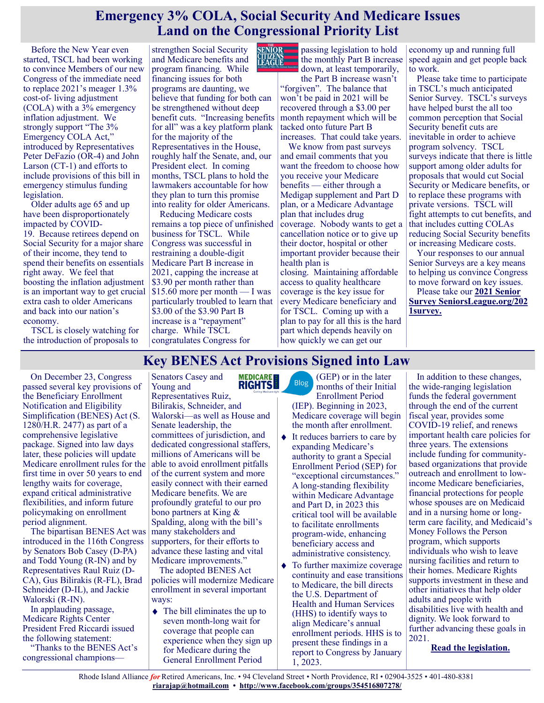## **Emergency 3% COLA, Social Security And Medicare Issues Land on the Congressional Priority List**

Before the New Year even started, TSCL had been working to convince Members of our new Congress of the immediate need to replace 2021's meager 1.3% cost-of- living adjustment (COLA) with a 3% emergency inflation adjustment. We strongly support "The 3% Emergency COLA Act," introduced by Representatives Peter DeFazio (OR-4) and John Larson (CT-1) and efforts to include provisions of this bill in emergency stimulus funding legislation.

Older adults age 65 and up have been disproportionately impacted by COVID-19. Because retirees depend on Social Security for a major share of their income, they tend to spend their benefits on essentials right away. We feel that boosting the inflation adjustment is an important way to get crucial extra cash to older Americans and back into our nation's economy.

TSCL is closely watching for the introduction of proposals to

strengthen Social Security and Medicare benefits and **LITZENS**<br>LEAGUE program financing. While financing issues for both programs are daunting, we believe that funding for both can be strengthened without deep benefit cuts. "Increasing benefits for all" was a key platform plank for the majority of the Representatives in the House, roughly half the Senate, and, our President elect. In coming months, TSCL plans to hold the lawmakers accountable for how they plan to turn this promise into reality for older Americans.

Reducing Medicare costs remains a top piece of unfinished business for TSCL. While Congress was successful in restraining a double-digit Medicare Part B increase in 2021, capping the increase at \$3.90 per month rather than \$15.60 more per month — I was particularly troubled to learn that \$3.00 of the \$3.90 Part B increase is a "repayment" charge. While TSCL congratulates Congress for

**SENIOR** passing legislation to hold the monthly Part B increase down, at least temporarily,

> the Part B increase wasn't "forgiven". The balance that won't be paid in 2021 will be recovered through a \$3.00 per month repayment which will be tacked onto future Part B increases. That could take years.

We know from past surveys and email comments that you want the freedom to choose how you receive your Medicare benefits — either through a Medigap supplement and Part D plan, or a Medicare Advantage plan that includes drug coverage. Nobody wants to get a cancellation notice or to give up their doctor, hospital or other important provider because their health plan is closing. Maintaining affordable access to quality healthcare coverage is the key issue for every Medicare beneficiary and for TSCL. Coming up with a plan to pay for all this is the hard

part which depends heavily on how quickly we can get our

economy up and running full speed again and get people back to work.

Please take time to participate in TSCL's much anticipated Senior Survey. TSCL's surveys have helped burst the all too common perception that Social Security benefit cuts are inevitable in order to achieve program solvency. TSCL surveys indicate that there is little support among older adults for proposals that would cut Social Security or Medicare benefits, or to replace these programs with private versions. TSCL will fight attempts to cut benefits, and that includes cutting COLAs reducing Social Security benefits or increasing Medicare costs.

Your responses to our annual Senior Surveys are a key means to helping us convince Congress to move forward on key issues.

Please take our **[2021 Senior](http://seniorsleague.org/2021survey)  [Survey](http://seniorsleague.org/2021survey) [SeniorsLeague.org/202](http://seniorsleague.org/2021survey) [1survey.](http://seniorsleague.org/2021survey)**

## **Key BENES Act Provisions Signed into Law**

**MEDICARE**<br>**RIGHTS** 

On December 23, Congress passed several key provisions of the Beneficiary Enrollment Notification and Eligibility Simplification (BENES) Act (S. 1280/H.R. 2477) as part of a comprehensive legislative package. Signed into law days later, these policies will update Medicare enrollment rules for the first time in over 50 years to end lengthy waits for coverage, expand critical administrative flexibilities, and inform future policymaking on enrollment period alignment.

The bipartisan BENES Act was introduced in the 116th Congress by Senators Bob Casey (D-PA) and Todd Young (R-IN) and by Representatives Raul Ruiz (D-CA), Gus Bilirakis (R-FL), Brad Schneider (D-IL), and Jackie Walorski (R-IN).

In applauding passage, Medicare Rights Center President Fred Riccardi issued the following statement:

"Thanks to the BENES Act's congressional championsSenators Casey and Young and Representatives Ruiz,

Bilirakis, Schneider, and Walorski—as well as House and Senate leadership, the committees of jurisdiction, and dedicated congressional staffers, millions of Americans will be able to avoid enrollment pitfalls of the current system and more easily connect with their earned Medicare benefits. We are profoundly grateful to our pro bono partners at King & Spalding, along with the bill's many stakeholders and supporters, for their efforts to advance these lasting and vital Medicare improvements."

The adopted BENES Act policies will modernize Medicare enrollment in several important ways:

 $\blacklozenge$  The bill eliminates the up to seven month-long wait for coverage that people can experience when they sign up for Medicare during the General Enrollment Period

(GEP) or in the later Blog months of their Initial Enrollment Period (IEP). Beginning in 2023, Medicare coverage will begin the month after enrollment.

- $\blacklozenge$  It reduces barriers to care by expanding Medicare's authority to grant a Special Enrollment Period (SEP) for "exceptional circumstances." A long-standing flexibility within Medicare Advantage and Part D, in 2023 this critical tool will be available to facilitate enrollments program-wide, enhancing beneficiary access and administrative consistency.
- To further maximize coverage continuity and ease transitions to Medicare, the bill directs the U.S. Department of Health and Human Services (HHS) to identify ways to align Medicare's annual enrollment periods. HHS is to present these findings in a report to Congress by January 1, 2023.

In addition to these changes, the wide-ranging legislation funds the federal government through the end of the current fiscal year, provides some COVID-19 relief, and renews important health care policies for three years. The extensions include funding for communitybased organizations that provide outreach and enrollment to lowincome Medicare beneficiaries, financial protections for people whose spouses are on Medicaid and in a nursing home or longterm care facility, and Medicaid's Money Follows the Person program, which supports individuals who wish to leave nursing facilities and return to their homes. Medicare Rights supports investment in these and other initiatives that help older adults and people with disabilities live with health and dignity. We look forward to further advancing these goals in 2021.

**[Read the legislation.](https://www.congress.gov/116/meeting/house/111121/documents/BILLS-116HR133SA-RCP-116-68.pdf)**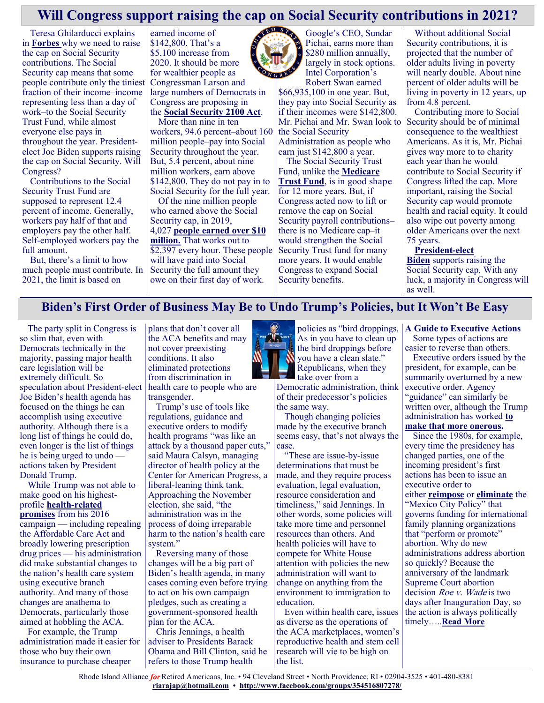## **Will Congress support raising the cap on Social Security contributions in 2021?**

Teresa Ghilarducci explains in **[Forbes](https://www.forbes.com/sites/teresaghilarducci/2021/12/31/raise-the-social-security-capnow-the-rich-pay-through-new-year-days-brunch/?sh=4dbfdf3c7ea9)** why we need to raise the cap on Social Security contributions. The Social Security cap means that some people contribute only the tiniest fraction of their income–income representing less than a day of work–to the Social Security Trust Fund, while almost everyone else pays in throughout the year. Presidentelect Joe Biden supports raising the cap on Social Security. Will Congress?

Contributions to the Social Security Trust Fund are supposed to represent 12.4 percent of income. Generally, workers pay half of that and employers pay the other half. Self-employed workers pay the full amount.

But, there's a limit to how much people must contribute. In 2021, the limit is based on

earned income of \$142,800. That's a \$5,100 increase from 2020. It should be more for wealthier people as Congressman Larson and large numbers of Democrats in Congress are proposing in the **[Social Security 2100 Act](https://justcareusa.org/congressman-larson-introduces-the-social-security-2100-act/)**.

More than nine in ten

workers, 94.6 percent–about 160 million people–pay into Social Security throughout the year. But, 5.4 percent, about nine million workers, earn above \$142,800. They do not pay in to Social Security for the full year.

Of the nine million people who earned above the Social Security cap, in 2019, 4,027 **[people earned over \\$10](https://www.ssa.gov/cgi-bin/netcomp.cgi?year=2018)  [million.](https://www.ssa.gov/cgi-bin/netcomp.cgi?year=2018)** That works out to \$2,397 every hour. These people Security Trust fund for many will have paid into Social Security the full amount they owe on their first day of work.

Google's CEO, Sundar Pichai, earns more than \$280 million annually,

largely in stock options. Intel Corporation's Robert Swan earned \$66,935,100 in one year. But, they pay into Social Security as

if their incomes were \$142,800. Mr. Pichai and Mr. Swan look to the Social Security Administration as people who earn just \$142,800 a year.

The Social Security Trust Fund, unlike the **[Medicare](https://justcareusa.org/strengthening-medicare-trust-fund-must-be-a-priority/)  [Trust Fund](https://justcareusa.org/strengthening-medicare-trust-fund-must-be-a-priority/)**, is in good shape for 12 more years. But, if Congress acted now to lift or remove the cap on Social Security payroll contributions– there is no Medicare cap–it would strengthen the Social more years. It would enable Congress to expand Social Security benefits.

Without additional Social Security contributions, it is projected that the number of older adults living in poverty will nearly double. About nine percent of older adults will be living in poverty in 12 years, up from 4.8 percent.

Contributing more to Social Security should be of minimal consequence to the wealthiest Americans. As it is, Mr. Pichai gives way more to to charity each year than he would contribute to Social Security if Congress lifted the cap. More important, raising the Social Security cap would promote health and racial equity. It could also wipe out poverty among older Americans over the next 75 years.

#### **[President](https://joebiden.com/older-americans/)-elect**

**[Biden](https://joebiden.com/older-americans/)** supports raising the Social Security cap. With any luck, a majority in Congress will as well.

#### **Biden's First Order of Business May Be to Undo Trump's Policies, but It Won't Be Easy**

The party split in Congress is so slim that, even with Democrats technically in the majority, passing major health care legislation will be extremely difficult. So speculation about President-elect Joe Biden's health agenda has focused on the things he can accomplish using executive authority. Although there is a long list of things he could do, even longer is the list of things he is being urged to undo actions taken by President Donald Trump.

While Trump was not able to make good on his highestprofile **health-[related](https://khn.org/news/promises-kept-on-health-care-trumps-claims-of-monumental-steps-dont-add-up/)  [promises](https://khn.org/news/promises-kept-on-health-care-trumps-claims-of-monumental-steps-dont-add-up/)** from his 2016 campaign — including repealing the Affordable Care Act and broadly lowering prescription drug prices — his administration did make substantial changes to the nation's health care system using executive branch authority. And many of those changes are anathema to Democrats, particularly those aimed at hobbling the ACA.

For example, the Trump administration made it easier for those who buy their own insurance to purchase cheaper

plans that don't cover all the ACA benefits and may not cover preexisting conditions. It also eliminated protections from discrimination in health care to people who are

transgender. Trump's use of tools like regulations, guidance and executive orders to modify health programs "was like an attack by a thousand paper cuts," said Maura Calsyn, managing director of health policy at the Center for American Progress, a liberal-leaning think tank. Approaching the November election, she said, "the administration was in the process of doing irreparable harm to the nation's health care system."

Reversing many of those changes will be a big part of Biden's health agenda, in many cases coming even before trying to act on his own campaign pledges, such as creating a government-sponsored health plan for the ACA.

Chris Jennings, a health adviser to Presidents Barack Obama and Bill Clinton, said he refers to those Trump health



As in you have to clean up the bird droppings before you have a clean slate." Republicans, when they take over from a

Democratic administration, think of their predecessor's policies the same way.

Though changing policies made by the executive branch seems easy, that's not always the case.

"These are issue-by-issue determinations that must be made, and they require process evaluation, legal evaluation, resource consideration and timeliness," said Jennings. In other words, some policies will take more time and personnel resources than others. And health policies will have to compete for White House attention with policies the new administration will want to change on anything from the environment to immigration to education.

Even within health care, issues as diverse as the operations of the ACA marketplaces, women's reproductive health and stem cell research will vie to be high on the list.

#### policies as "bird droppings. **A Guide to Executive Actions**

Some types of actions are easier to reverse than others.

Executive orders issued by the president, for example, can be summarily overturned by a new executive order. Agency "guidance" can similarly be written over, although the Trump administration has worked **[to](https://www.hhs.gov/about/news/2020/12/03/hhs-finalizes-good-guidance-practices-rule-issues-advisory-opinion-regarding-compliance-notice.html)  [make that more onerous.](https://www.hhs.gov/about/news/2020/12/03/hhs-finalizes-good-guidance-practices-rule-issues-advisory-opinion-regarding-compliance-notice.html)**

Since the 1980s, for example, every time the presidency has changed parties, one of the incoming president's first actions has been to issue an executive order to either **[reimpose](https://www.nytimes.com/2017/01/23/world/trump-ban-foreign-aid-abortions.html)** or **[eliminate](https://obamawhitehouse.archives.gov/the-press-office/statement-president-barack-obama-rescinding-mexico-city-policy)** the "Mexico City Policy" that governs funding for international family planning organizations that "perform or promote" abortion. Why do new administrations address abortion so quickly? Because the anniversary of the landmark Supreme Court abortion decision *Roe v. Wade* is two days after Inauguration Day, so the action is always politically timely…..**[Read More](https://khn.org/news/article/bidens-first-order-of-business-may-be-to-undo-trumps-policies-but-it-wont-be-easy/)**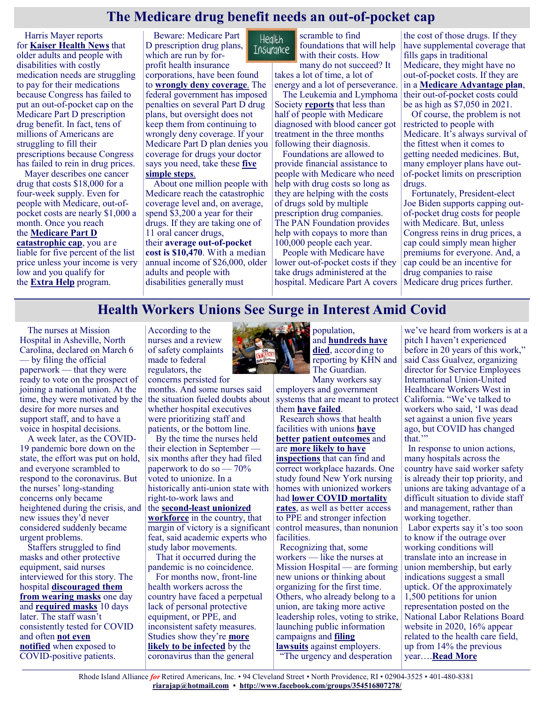## **The Medicare drug benefit needs an out-of-pocket cap**

Harris Mayer reports for **[Kaiser Health News](https://khn.org/news/article/seniors-face-crushing-drug-costs-as-congress-stalls-on-capping-medicare-out-of-pockets/)** that older adults and people with disabilities with costly medication needs are struggling to pay for their medications because Congress has failed to put an out-of-pocket cap on the Medicare Part D prescription drug benefit. In fact, tens of millions of Americans are struggling to fill their prescriptions because Congress has failed to rein in drug prices.

Mayer describes one cancer drug that costs \$18,000 for a four-week supply. Even for people with Medicare, out-ofpocket costs are nearly \$1,000 a month. Once you reach the **[Medicare Part D](https://justcareusa.org/medicare-part-d-drug-coverage-in-2021/)** 

**[catastrophic cap](https://justcareusa.org/medicare-part-d-drug-coverage-in-2021/)**, you are liable for five percent of the list price unless your income is very low and you qualify for the **[Extra Help](https://justcareusa.org/medicare-part-d-drug-coverage-in-2021/)** program.

Beware: Medicare Part D prescription drug plans, which are run by forprofit health insurance

corporations, have been found to **[wrongly deny coverage](https://justcareusa.org/office-of-inspector-general-finds-that-part-d-plans-inappropriately-deny-drug-coverage/)**. The federal government has imposed penalties on several Part D drug plans, but oversight does not keep them from continuing to wrongly deny coverage. If your Medicare Part D plan denies you coverage for drugs your doctor says you need, take these **[five](https://justcareusa.org/if-your-medicare-drug-plan-refuses-to-cover-your-medications-take-these-five-simple-steps/)  [simple steps](https://justcareusa.org/if-your-medicare-drug-plan-refuses-to-cover-your-medications-take-these-five-simple-steps/)**.

About one million people with Medicare reach the catastrophic coverage level and, on average, spend \$3,200 a year for their drugs. If they are taking one of 11 oral cancer drugs, their **[average out](https://pubmed.ncbi.nlm.nih.gov/31135837/)-of-pocket [cost is \\$10,470](https://pubmed.ncbi.nlm.nih.gov/31135837/)**. With a median annual income of \$26,000, older adults and people with disabilities generally must

scramble to find **Health** foundations that will help Insurance with their costs. How

many do not succeed? It takes a lot of time, a lot of energy and a lot of perseverance.

The Leukemia and Lymphoma Society **[reports](https://www.lls.org/sites/default/files/National/USA/Pdf/Milliman-Cost-Of-Blood-Cancer-In-Medicare-20191016.pdf)** that less than half of people with Medicare diagnosed with blood cancer got treatment in the three months following their diagnosis.

Foundations are allowed to provide financial assistance to people with Medicare who need help with drug costs so long as they are helping with the costs of drugs sold by multiple prescription drug companies. The PAN Foundation provides help with copays to more than 100,000 people each year.

People with Medicare have lower out-of-pocket costs if they take drugs administered at the hospital. Medicare Part A covers

the cost of those drugs. If they have supplemental coverage that fills gaps in traditional Medicare, they might have no out-of-pocket costs. If they are in a **[Medicare Advantage plan](https://justcareusa.org/medicare-coverage-changes-for-2021/)**, their out-of-pocket costs could be as high as \$7,050 in 2021.

Of course, the problem is not restricted to people with Medicare. It's always survival of the fittest when it comes to getting needed medicines. But, many employer plans have outof-pocket limits on prescription drugs.

Fortunately, President-elect Joe Biden supports capping outof-pocket drug costs for people with Medicare. But, unless Congress reins in drug prices, a cap could simply mean higher premiums for everyone. And, a cap could be an incentive for drug companies to raise Medicare drug prices further.

#### **Health Workers Unions See Surge in Interest Amid Covid**

The nurses at Mission Hospital in Asheville, North Carolina, declared on March 6 — by filing the official paperwork — that they were ready to vote on the prospect of joining a national union. At the time, they were motivated by the desire for more nurses and support staff, and to have a voice in hospital decisions.

A week later, as the COVID-19 pandemic bore down on the state, the effort was put on hold, and everyone scrambled to respond to the coronavirus. But the nurses' long-standing concerns only became heightened during the crisis, and new issues they'd never considered suddenly became urgent problems.

Staffers struggled to find masks and other protective equipment, said nurses interviewed for this story. The hospital **[discouraged them](https://www.citizen-times.com/story/news/local/2020/03/26/coronavirus-north-carolina-masks-nurses-mission-va-hospitals/2903556001/)  [from wearing masks](https://www.citizen-times.com/story/news/local/2020/03/26/coronavirus-north-carolina-masks-nurses-mission-va-hospitals/2903556001/)** one day and **[required masks](https://www.citizen-times.com/story/news/local/2020/03/31/coronavirus-mission-health-universal-mask-policy-asheville-nc/5093751002/)** 10 days later. The staff wasn't consistently tested for COVID and often **[not even](https://www.nationalnursesunited.org/press/nurses-seek-osha-sanctions-hca)  [notified](https://www.nationalnursesunited.org/press/nurses-seek-osha-sanctions-hca)** when exposed to COVID-positive patients.

According to the nurses and a review of safety complaints made to federal regulators, the concerns persisted for

months. And some nurses said the situation fueled doubts about whether hospital executives were prioritizing staff and patients, or the bottom line.

By the time the nurses held their election in September six months after they had filed paperwork to do so — 70% voted to unionize. In a historically anti-union state with right-to-work laws and the **second-[least unionized](http://unionstats.com/MonthlyLaborReviewArticle.htm)  [workforce](http://unionstats.com/MonthlyLaborReviewArticle.htm)** in the country, that margin of victory is a significant feat, said academic experts who study labor movements.

That it occurred during the pandemic is no coincidence.

For months now, front-line health workers across the country have faced a perpetual lack of personal protective equipment, or PPE, and inconsistent safety measures. Studies show they're **[more](https://www.rutgers.edu/news/health-care-workers-most-risk-covid-19#:~:text=Health%20care%20workers%20%E2%80%94%20particularly%20nurses,early%20phase%20of%20the%20COVID)  [likely to be infected](https://www.rutgers.edu/news/health-care-workers-most-risk-covid-19#:~:text=Health%20care%20workers%20%E2%80%94%20particularly%20nurses,early%20phase%20of%20the%20COVID)** by the coronavirus than the general



population, and **[hundreds have](https://www.theguardian.com/us-news/ng-interactive/2020/aug/11/lost-on-the-frontline-covid-19-coronavirus-us-healthcare-workers-deaths-database)  [died](https://www.theguardian.com/us-news/ng-interactive/2020/aug/11/lost-on-the-frontline-covid-19-coronavirus-us-healthcare-workers-deaths-database)**, according to reporting by KHN and The Guardian. Many workers say

employers and government systems that are meant to protect them **[have failed](https://khn.org/news/article/osha-let-employers-decide-whether-to-report-health-care-worker-deaths-many-didnt/)**.

Research shows that health facilities with unions **[have](https://journals.sagepub.com/doi/full/10.1177/0019793916644251?casa_token=DF4dEuLdxycAAAAA%3An8Ap4VDSJLAMi0jVyB8BTgE98D_H421ikNwfwZjn8GvV9by6vwCDvHQ0CH7B4SrSjWNDuU-UH02a)  [better](https://journals.sagepub.com/doi/full/10.1177/0019793916644251?casa_token=DF4dEuLdxycAAAAA%3An8Ap4VDSJLAMi0jVyB8BTgE98D_H421ikNwfwZjn8GvV9by6vwCDvHQ0CH7B4SrSjWNDuU-UH02a) [patient outcomes](https://journals.sagepub.com/doi/abs/10.1177/001979390405700306?casa_token=aRg3QfEdQicAAAAA:KZKhxAEhU2kvbQffjFWG4FFsMHA9vomU8sD53pEQl6VB6Mr6EFZ6EWZDP_fd4jolcqZxmmybaSbS)** and are **[more likely to have](https://theconversation.com/unionized-workers-are-more-likely-to-assert-their-right-to-a-safe-and-healthy-workplace-144718)  [inspections](https://theconversation.com/unionized-workers-are-more-likely-to-assert-their-right-to-a-safe-and-healthy-workplace-144718)** that can find and correct workplace hazards. One study found New York nursing homes with unionized workers had **[lower COVID mortality](https://www.healthaffairs.org/doi/full/10.1377/hlthaff.2020.01011)  [rates](https://www.healthaffairs.org/doi/full/10.1377/hlthaff.2020.01011)**, as well as better access to PPE and stronger infection control measures, than nonunion facilities.

Recognizing that, some workers — like the nurses at Mission Hospital — are forming new unions or thinking about organizing for the first time. Others, who already belong to a union, are taking more active leadership roles, voting to strike, launching public information campaigns and **[filing](https://www.washingtonpost.com/health/lawsuit-accuses-nations-largest-hospital-firm-of-not-protecting-workers-from-covid-19/2020/08/20/10c9f74e-e31f-11ea-b69b-64f7b0477ed4_story.html)  [lawsuits](https://www.washingtonpost.com/health/lawsuit-accuses-nations-largest-hospital-firm-of-not-protecting-workers-from-covid-19/2020/08/20/10c9f74e-e31f-11ea-b69b-64f7b0477ed4_story.html)** against employers.

"The urgency and desperation

we've heard from workers is at a pitch I haven't experienced before in 20 years of this work," said Cass Gualvez, organizing director for Service Employees International Union-United Healthcare Workers West in California. "We've talked to workers who said, 'I was dead set against a union five years ago, but COVID has changed that."

In response to union actions, many hospitals across the country have said worker safety is already their top priority, and unions are taking advantage of a difficult situation to divide staff and management, rather than working together.

Labor experts say it's too soon to know if the outrage over working conditions will translate into an increase in union membership, but early indications suggest a small uptick. Of the approximately 1,500 petitions for union representation posted on the National Labor Relations Board website in 2020, 16% appear related to the health care field, up from 14% the previous year….**[Read More](https://www.pbs.org/newshour/health/health-workers-unions-see-surge-in-interest-amid-covid-19)**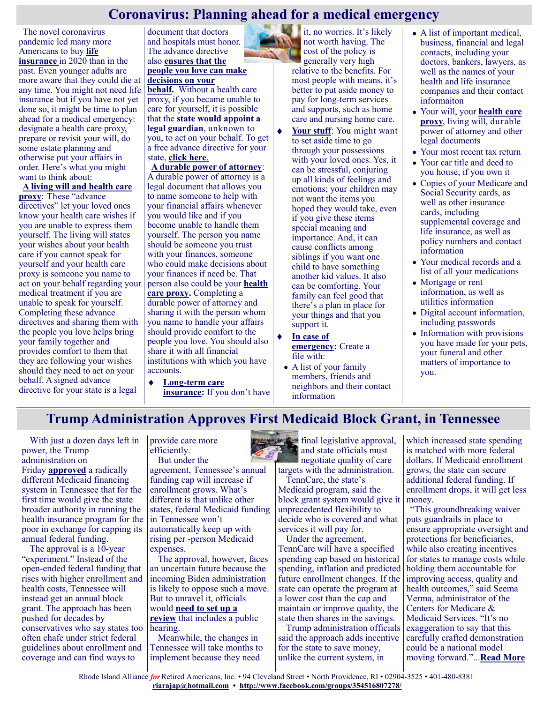## **Coronavirus: Planning ahead for a medical emergency**

The novel coronavirus pandemic led many more Americans to buy **[life](https://justcareusa.org/life-insurance-companies-can-keep-collecting-payments-beyond-the-term/)  [insurance](https://justcareusa.org/life-insurance-companies-can-keep-collecting-payments-beyond-the-term/)** in 2020 than in the past. Even younger adults are more aware that they could die at any time. You might not need life insurance but if you have not yet done so, it might be time to plan ahead for a medical emergency: designate a health care proxy, prepare or revisit your will, do some estate planning and otherwise put your affairs in order. Here's what you might want to think about:

**[A living will and health care](https://justcareusa.org/six-reasons-why-you-and-your-loved-ones-should-create-advance-directives/)  [proxy](https://justcareusa.org/six-reasons-why-you-and-your-loved-ones-should-create-advance-directives/)**: These "advance directives" let your loved ones know your health care wishes if you are unable to express them yourself. The living will states your wishes about your health care if you cannot speak for yourself and your health care proxy is someone you name to act on your behalf regarding your medical treatment if you are unable to speak for yourself. Completing these advance directives and sharing them with the people you love helps bring your family together and provides comfort to them that they are following your wishes should they need to act on your behalf. A signed advance directive for your state is a legal

document that doctors and hospitals must honor. The advance directive also **[ensures that the](https://justcareusa.org/making-medical-decisions-for-someone-you-love-your-rights/)  [people you love can make](https://justcareusa.org/making-medical-decisions-for-someone-you-love-your-rights/)** 

## **[decisions on your](https://justcareusa.org/making-medical-decisions-for-someone-you-love-your-rights/)**

**[behalf.](https://justcareusa.org/making-medical-decisions-for-someone-you-love-your-rights/)** Without a health care proxy, if you became unable to care for yourself, it is possible that the **[state would appoint a](https://justcareusa.org/how-to-avoid-being-assigned-a-legal-guardian/)  [legal guardian](https://justcareusa.org/how-to-avoid-being-assigned-a-legal-guardian/)**, unknown to you, to act on your behalf. To get a free advance directive for your state, **[click here](https://www.nhpco.org/patients-and-caregivers/advance-care-planning/advance-directives/)**.

**[A durable power of attorney](https://justcareusa.org/whats-a-durable-power-of-attorney/)**: A durable power of attorney is a legal document that allows you to name someone to help with your financial affairs whenever you would like and if you become unable to handle them yourself. The person you name should be someone you trust with your finances, someone who could make decisions about your finances if need be. That person also could be your **[health](https://justcareusa.org/hipaa-and-why-you-need-a-health-care-proxy/)  [care proxy.](https://justcareusa.org/hipaa-and-why-you-need-a-health-care-proxy/)** Completing a durable power of attorney and sharing it with the person whom you name to handle your affairs should provide comfort to the people you love. You should also share it with all financial institutions with which you have accounts.

٠ **Long-[term care](https://justcareusa.org/long-term-care-insurance-likely-wont-deliver-what-you-need/)  [insurance:](https://justcareusa.org/long-term-care-insurance-likely-wont-deliver-what-you-need/)** If you don't have

 $\mathbf{ii}$  it, no worries. It's likely not worth having. The cost of the policy is generally very high

relative to the benefits. For most people with means, it's better to put aside money to pay for long-term services and supports, such as home care and nursing home care.

- **[Your stuff](https://justcareusa.org/talking-to-your-kids-about-your-stuff/)**: You might want to set aside time to go through your possessions with your loved ones. Yes, it can be stressful, conjuring up all kinds of feelings and emotions; your children may not want the items you hoped they would take, even if you give these items special meaning and importance. And, it can cause conflicts among siblings if you want one child to have something another kid values. It also can be comforting. Your family can feel good that there's a plan in place for your things and that you support it.
- **[In case of](https://justcareusa.org/five-steps-to-get-your-affairs-in-order-in-case-of-emergency/)  [emergency:](https://justcareusa.org/five-steps-to-get-your-affairs-in-order-in-case-of-emergency/)** Create a file with:
- A list of your family members, friends and neighbors and their contact information
- A list of important medical, business, financial and legal contacts, including your doctors, bankers, lawyers, as well as the names of your health and life insurance companies and their contact informaiton
- Your will, your **[health care](https://justcareusa.org/hipaa-and-why-you-need-a-health-care-proxy/)  [proxy](https://justcareusa.org/hipaa-and-why-you-need-a-health-care-proxy/)**, living will, durable power of attorney and other legal documents
- Your most recent tax return
- Your car title and deed to you house, if you own it
- Copies of your Medicare and Social Security cards, as well as other insurance cards, including supplemental coverage and life insurance, as well as policy numbers and contact information
- Your medical records and a list of all your medications
- Mortgage or rent information, as well as utilities information
- Digital account information, including passwords
- Information with provisions you have made for your pets, your funeral and other matters of importance to you.

## **Trump Administration Approves First Medicaid Block Grant, in Tennessee**

With just a dozen days left in power, the Trump administration on Friday **[approved](https://www.cms.gov/newsroom/press-releases/cms-approves-innovative-tennessee-aggregate-cap-demonstration-prioritize-accountability-value-and)** a radically different Medicaid financing system in Tennessee that for the first time would give the state broader authority in running the health insurance program for the poor in exchange for capping its annual federal funding.

The approval is a 10-year "experiment." Instead of the open-ended federal funding that rises with higher enrollment and health costs, Tennessee will instead get an annual block grant. The approach has been pushed for decades by conservatives who say states too often chafe under strict federal guidelines about enrollment and coverage and can find ways to

provide care more efficiently. But under the

agreement, Tennessee's annual funding cap will increase if enrollment grows. What's different is that unlike other states, federal Medicaid funding in Tennessee won't automatically keep up with rising per -person Medicaid expenses.

The approval, however, faces an uncertain future because the incoming Biden administration is likely to oppose such a move. But to unravel it, officials would **[need to set up a](https://www.kff.org/medicaid/issue-brief/5-targeted-actions-a-biden-administration-could-use-to-expand-medicaid-coverage/)  [review](https://www.kff.org/medicaid/issue-brief/5-targeted-actions-a-biden-administration-could-use-to-expand-medicaid-coverage/)** that includes a public hearing.

Meanwhile, the changes in Tennessee will take months to implement because they need

final legislative approval, and state officials must negotiate quality of care targets with the administration.

TennCare, the state's

Medicaid program, said the block grant system would give it unprecedented flexibility to decide who is covered and what services it will pay for.

Under the agreement,

TennCare will have a specified spending cap based on historical spending, inflation and predicted future enrollment changes. If the state can operate the program at a lower cost than the cap and maintain or improve quality, the state then shares in the savings.

Trump administration officials said the approach adds incentive for the state to save money, unlike the current system, in

which increased state spending is matched with more federal dollars. If Medicaid enrollment grows, the state can secure additional federal funding. If enrollment drops, it will get less money.

"This groundbreaking waiver puts guardrails in place to ensure appropriate oversight and protections for beneficiaries, while also creating incentives for states to manage costs while holding them accountable for improving access, quality and health outcomes," said Seema Verma, administrator of the Centers for Medicare & Medicaid Services. "It's no exaggeration to say that this carefully crafted demonstration could be a national model moving forward."...**[Read More](https://khn.org/news/article/trump-administration-approves-first-medicaid-block-grant-in-tennessee/)**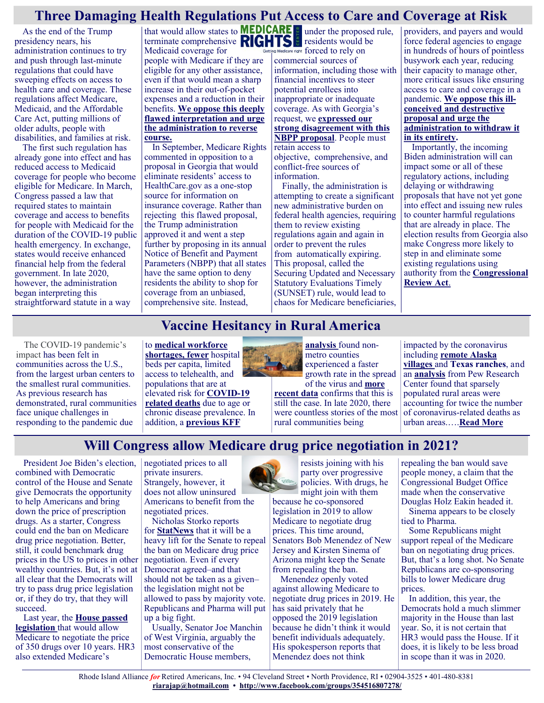## **Three Damaging Health Regulations Put Access to Care and Coverage at Risk**

As the end of the Trump presidency nears, his administration continues to try and push through last-minute regulations that could have sweeping effects on access to health care and coverage. These regulations affect Medicare, Medicaid, and the Affordable Care Act, putting millions of older adults, people with disabilities, and families at risk.

The first such regulation has already gone into effect and has reduced access to Medicaid coverage for people who become eligible for Medicare. In March, Congress passed a law that required states to maintain coverage and access to benefits for people with Medicaid for the duration of the COVID-19 public health emergency. In exchange, states would receive enhanced financial help from the federal government. In late 2020, however, the administration began interpreting this straightforward statute in a way

that would allow states to terminate comprehensive Medicaid coverage for people with Medicare if they are eligible for any other assistance, even if that would mean a sharp increase in their out-of-pocket expenses and a reduction in their benefits. **[We oppose this deeply](https://www.medicarerights.org/policy-documents/comments-on-4th-covid-ifr)  [flawed interpretation and urge](https://www.medicarerights.org/policy-documents/comments-on-4th-covid-ifr)  [the administration to reverse](https://www.medicarerights.org/policy-documents/comments-on-4th-covid-ifr)  [course.](https://www.medicarerights.org/policy-documents/comments-on-4th-covid-ifr)**

In September, Medicare Rights commented in opposition to a proposal in Georgia that would eliminate residents' access to HealthCare.gov as a one-stop source for information on insurance coverage. Rather than rejecting this flawed proposal, the Trump administration approved it and went a step further by proposing in its annual Notice of Benefit and Payment Parameters (NBPP) that all states have the same option to deny residents the ability to shop for coverage from an unbiased, comprehensive site. Instead,

under the proposed rule, residents would be are right forced to rely on commercial sources of information, including those with financial incentives to steer potential enrollees into inappropriate or inadequate coverage. As with Georgia's request, we **[expressed our](https://www.medicarerights.org/policy-documents/comments-on-notice-of-benefit-and-payment-parameters-for-2022)  [strong disagreement with this](https://www.medicarerights.org/policy-documents/comments-on-notice-of-benefit-and-payment-parameters-for-2022)  [NBPP proposal](https://www.medicarerights.org/policy-documents/comments-on-notice-of-benefit-and-payment-parameters-for-2022)**. People must retain access to objective, comprehensive, and conflict-free sources of information.

Finally, the administration is attempting to create a significant new administrative burden on federal health agencies, requiring them to review existing regulations again and again in order to prevent the rules from automatically expiring. This proposal, called the Securing Updated and Necessary Statutory Evaluations Timely (SUNSET) rule, would lead to chaos for Medicare beneficiaries, providers, and payers and would force federal agencies to engage in hundreds of hours of pointless busywork each year, reducing their capacity to manage other, more critical issues like ensuring access to care and coverage in a pandemic. **[We oppose this ill](https://www.medicarerights.org/policy-documents/comments-on-sunset-rule)[conceived and destructive](https://www.medicarerights.org/policy-documents/comments-on-sunset-rule)  [proposal and urge the](https://www.medicarerights.org/policy-documents/comments-on-sunset-rule)  [administration to withdraw it](https://www.medicarerights.org/policy-documents/comments-on-sunset-rule)  [in its entirety.](https://www.medicarerights.org/policy-documents/comments-on-sunset-rule)**

Importantly, the incoming Biden administration will can impact some or all of these regulatory actions, including delaying or withdrawing proposals that have not yet gone into effect and issuing new rules to counter harmful regulations that are already in place. The election results from Georgia also make Congress more likely to step in and eliminate some existing regulations using authority from the **[Congressional](https://fas.org/sgp/crs/misc/R43992.pdf)  [Review Act](https://fas.org/sgp/crs/misc/R43992.pdf)**.

The COVID-19 pandemic's impact has been felt in communities across the U.S., from the largest urban centers to the smallest rural communities. As previous research has demonstrated, rural communities face unique challenges in responding to the pandemic due

## **Vaccine Hesitancy in Rural America**

to **[medical workforce](https://bhw.hrsa.gov/workforce-shortage-areas/shortage-designation)  [shortages,](https://bhw.hrsa.gov/workforce-shortage-areas/shortage-designation) fewer** hospital beds per capita, limited access to [telehealth,](https://ruralopioids.soc.iastate.edu/wp-content/uploads/sites/210/2020/06/Peters_2020_JRuralHealth_COVID19.pdf) and populations that are at elevated risk for **[COVID](https://www.idsociety.org/globalassets/idsa/public-health/covid-19/covid19-health-disparities-in-rural-communities_leadership-review_final_ab_clean.pdf)-19 [related deaths](https://www.idsociety.org/globalassets/idsa/public-health/covid-19/covid19-health-disparities-in-rural-communities_leadership-review_final_ab_clean.pdf)** due to age or chronic disease prevalence. In addition, a **[previous KFF](https://www.kff.org/slideshow/covid-19-in-metropolitan-and-non-metropolitan-counties/)** 



**[analysis](https://www.kff.org/slideshow/covid-19-in-metropolitan-and-non-metropolitan-counties/)** found nonmetro counties experienced a faster growth rate in the spread

of the virus and **[more](https://www.ers.usda.gov/covid-19/rural-america/)  [recent data](https://www.ers.usda.gov/covid-19/rural-america/)** confirms that this is still the case. In late 2020, there were countless stories of the most rural communities being

impacted by the coronavirus including **[remote Alaska](https://www.nationalgeographic.com/science/2020/11/coronavirus-smoldered-in-rural-america-for-months-why-everyone-missed-it/)  [villages](https://www.nationalgeographic.com/science/2020/11/coronavirus-smoldered-in-rural-america-for-months-why-everyone-missed-it/)** and **[Texas ranches](https://www.tsln.com/ag-politics/covid-in-rural-america/)**, and an **[analysis](https://www.pewresearch.org/politics/2020/12/08/the-changing-geography-of-covid-19-in-the-u-s/)** from Pew Research Center found that sparsely populated rural areas were accounting for twice the number of coronavirus-related deaths as urban areas.….**[Read More](https://www.kff.org/coronavirus-covid-19/poll-finding/vaccine-hesitancy-in-rural-america/)**

## **Will Congress allow Medicare drug price negotiation in 2021?**

President Joe Biden's election, combined with Democratic control of the House and Senate give Democrats the opportunity to help Americans and bring down the price of prescription drugs. As a starter, Congress could end the ban on Medicare drug price negotiation. Better, still, it could benchmark drug prices in the US to prices in other wealthy countries. But, it's not at all clear that the Democrats will try to pass drug price legislation or, if they do try, that they will succeed.

Last year, the **[House passed](https://justcareusa.org/pelosi-drug-proposal-would-bring-down-drug-prices/)  [legislation](https://justcareusa.org/pelosi-drug-proposal-would-bring-down-drug-prices/)** that would allow Medicare to negotiate the price of 350 drugs over 10 years. HR3 also extended Medicare's

negotiated prices to all private insurers. Strangely, however, it does not allow uninsured Americans to benefit from the

negotiated prices. Nicholas Storko reports for **[StatNews](https://www.statnews.com/2021/01/11/democrats-drug-price-negotiation-roadblocks/)** that it will be a heavy lift for the Senate to repeal the ban on Medicare drug price negotiation. Even if every Democrat agreed–and that should not be taken as a given– the legislation might not be allowed to pass by majority vote. Republicans and Pharma will put up a big fight.

Usually, Senator Joe Manchin of West Virginia, arguably the most conservative of the Democratic House members,

resists joining with his party over progressive policies. With drugs, he might join with them

because he co-sponsored legislation in  $2019$  to allow Medicare to negotiate drug prices. This time around, Senators Bob Menendez of New Jersey and Kirsten Sinema of Arizona might keep the Senate from repealing the ban.

Menendez openly voted against allowing Medicare to negotiate drug prices in 2019. He has said privately that he opposed the 2019 legislation because he didn't think it would benefit individuals adequately. His spokesperson reports that Menendez does not think

repealing the ban would save people money, a claim that the Congressional Budget Office made when the conservative Douglas Holz Eakin headed it.

Sinema appears to be closely tied to Pharma.

Some Republicans might support repeal of the Medicare ban on negotiating drug prices. But, that's a long shot. No Senate Republicans are co-sponsoring bills to lower Medicare drug prices.

In addition, this year, the Democrats hold a much slimmer majority in the House than last year. So, it is not certain that HR3 would pass the House. If it does, it is likely to be less broad in scope than it was in 2020.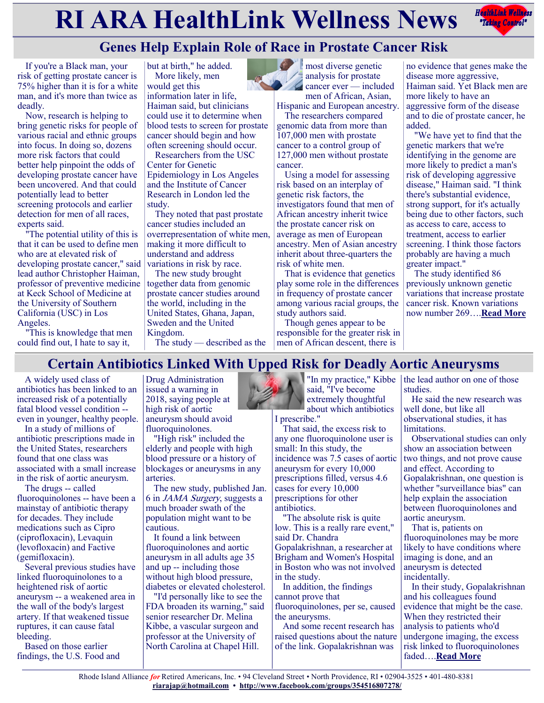# **RIARA HealthLink Wellness News** *Reduction Reduction***ly and** *Reduction***ly and** *Reduction***ly <b>Reduction**



## **Genes Help Explain Role of Race in Prostate Cancer Risk**

If you're a Black man, your risk of getting prostate cancer is 75% higher than it is for a white man, and it's more than twice as deadly.

Now, research is helping to bring genetic risks for people of various racial and ethnic groups into focus. In doing so, dozens more risk factors that could better help pinpoint the odds of developing prostate cancer have been uncovered. And that could potentially lead to better screening protocols and earlier detection for men of all races, experts said.

"The potential utility of this is that it can be used to define men who are at elevated risk of developing prostate cancer," said lead author Christopher Haiman, professor of preventive medicine at Keck School of Medicine at the University of Southern California (USC) in Los Angeles.

"This is knowledge that men could find out, I hate to say it,

but at birth," he added. More likely, men would get this information later in life, Haiman said, but clinicians could use it to determine when blood tests to screen for prostate cancer should begin and how often screening should occur.

Researchers from the USC Center for Genetic Epidemiology in Los Angeles and the Institute of Cancer Research in London led the study.

They noted that past prostate cancer studies included an overrepresentation of white men, making it more difficult to understand and address variations in risk by race.

The new study brought together data from genomic prostate cancer studies around the world, including in the United States, Ghana, Japan, Sweden and the United Kingdom.

The study — described as the

**most diverse genetic** analysis for prostate

**C** cancer ever — included men of African, Asian, Hispanic and European ancestry.

The researchers compared genomic data from more than 107,000 men with prostate cancer to a control group of 127,000 men without prostate cancer.

Using a model for assessing risk based on an interplay of genetic risk factors, the investigators found that men of African ancestry inherit twice the prostate cancer risk on average as men of European ancestry. Men of Asian ancestry inherit about three-quarters the risk of white men.

That is evidence that genetics play some role in the differences in frequency of prostate cancer among various racial groups, the study authors said.

Though genes appear to be responsible for the greater risk in men of African descent, there is

no evidence that genes make the disease more aggressive, Haiman said. Yet Black men are more likely to have an aggressive form of the disease and to die of prostate cancer, he added.

"We have yet to find that the genetic markers that we're identifying in the genome are more likely to predict a man's risk of developing aggressive disease," Haiman said. "I think there's substantial evidence, strong support, for it's actually being due to other factors, such as access to care, access to treatment, access to earlier screening. I think those factors probably are having a much greater impact."

The study identified 86 previously unknown genetic variations that increase prostate cancer risk. Known variations now number 269….**[Read More](https://consumer.healthday.com/1-7-genes-may-help-explain-why-prostate-cancer-is-deadlier-in-black-men-2649730690.html)**

## **Certain Antibiotics Linked With Upped Risk for Deadly Aortic Aneurysms**

A widely used class of antibiotics has been linked to an increased risk of a potentially fatal blood vessel condition - even in younger, healthy people.

In a study of millions of antibiotic prescriptions made in the United States, researchers found that one class was associated with a small increase in the risk of aortic aneurysm.

The drugs -- called fluoroquinolones -- have been a mainstay of antibiotic therapy for decades. They include medications such as Cipro (ciprofloxacin), Levaquin (levofloxacin) and Factive (gemifloxacin).

Several previous studies have linked fluoroquinolones to a heightened risk of aortic aneurysm -- a weakened area in the wall of the body's largest artery. If that weakened tissue ruptures, it can cause fatal bleeding.

Based on those earlier findings, the U.S. Food and

Drug Administration issued a warning in 2018, saying people at high risk of aortic aneurysm should avoid fluoroquinolones.

"High risk" included the elderly and people with high blood pressure or a history of blockages or aneurysms in any arteries.

The new study, published Jan. 6 in JAMA Surgery, suggests a much broader swath of the population might want to be cautious.

It found a link between fluoroquinolones and aortic aneurysm in all adults age 35 and up -- including those without high blood pressure, diabetes or elevated cholesterol.

"I'd personally like to see the FDA broaden its warning," said senior researcher Dr. Melina Kibbe, a vascular surgeon and professor at the University of North Carolina at Chapel Hill.

"In my practice," Kibbe said, "I've become extremely thoughtful about which antibiotics

I prescribe."

That said, the excess risk to any one fluoroquinolone user is small: In this study, the incidence was 7.5 cases of aortic aneurysm for every 10,000 prescriptions filled, versus 4.6 cases for every 10,000 prescriptions for other antibiotics.

"The absolute risk is quite low. This is a really rare event," said Dr. Chandra Gopalakrishnan, a researcher at Brigham and Women's Hospital in Boston who was not involved in the study.

In addition, the findings cannot prove that fluoroquinolones, per se, caused the aneurysms.

And some recent research has raised questions about the nature of the link. Gopalakrishnan was

the lead author on one of those studies.

He said the new research was well done, but like all observational studies, it has limitations.

Observational studies can only show an association between two things, and not prove cause and effect. According to Gopalakrishnan, one question is whether "surveillance bias" can help explain the association between fluoroquinolones and aortic aneurysm.

That is, patients on fluoroquinolones may be more likely to have conditions where imaging is done, and an aneurysm is detected incidentally.

In their study, Gopalakrishnan and his colleagues found evidence that might be the case. When they restricted their analysis to patients who'd undergone imaging, the excess risk linked to fluoroquinolones faded….**[Read More](https://consumer.healthday.com/1-7-certain-antibiotics-linked-with-upped-risk-for-torn-aortas-2649732348.html)**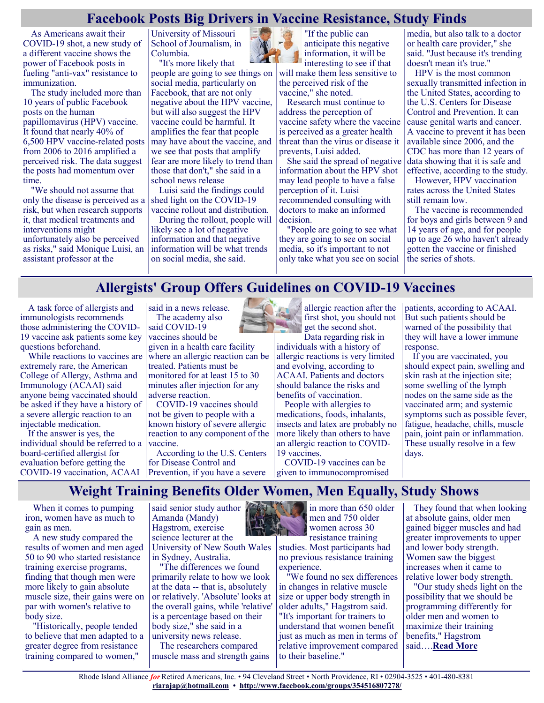#### **Facebook Posts Big Drivers in Vaccine Resistance, Study Finds**

As Americans await their COVID-19 shot, a new study of a different vaccine shows the power of Facebook posts in fueling "anti-vax" resistance to immunization.

The study included more than 10 years of public Facebook posts on the human papillomavirus (HPV) vaccine. It found that nearly 40% of 6,500 HPV vaccine-related posts from 2006 to 2016 amplified a perceived risk. The data suggest the posts had momentum over time.

"We should not assume that only the disease is perceived as a risk, but when research supports it, that medical treatments and interventions might unfortunately also be perceived as risks," said Monique Luisi, an assistant professor at the

University of Missouri School of Journalism, in Columbia.

"It's more likely that people are going to see things on social media, particularly on Facebook, that are not only negative about the HPV vaccine, but will also suggest the HPV vaccine could be harmful. It amplifies the fear that people may have about the vaccine, and we see that posts that amplify fear are more likely to trend than those that don't," she said in a school news release

Luisi said the findings could shed light on the COVID-19 vaccine rollout and distribution.

During the rollout, people will likely see a lot of negative information and that negative information will be what trends on social media, she said.



"If the public can anticipate this negative information, it will be interesting to see if that will make them less sensitive to the perceived risk of the vaccine," she noted.

Research must continue to address the perception of vaccine safety where the vaccine is perceived as a greater health threat than the virus or disease it prevents, Luisi added.

She said the spread of negative information about the HPV shot may lead people to have a false perception of it. Luisi recommended consulting with doctors to make an informed decision.

"People are going to see what they are going to see on social media, so it's important to not only take what you see on social media, but also talk to a doctor or health care provider," she said. "Just because it's trending doesn't mean it's true."

HPV is the most common sexually transmitted infection in the United States, according to the U.S. Centers for Disease Control and Prevention. It can cause genital warts and cancer. A vaccine to prevent it has been available since 2006, and the CDC has more than 12 years of data showing that it is safe and effective, according to the study.

However, HPV vaccination rates across the United States still remain low.

The vaccine is recommended for boys and girls between 9 and 14 years of age, and for people up to age 26 who haven't already gotten the vaccine or finished the series of shots.

## **Allergists' Group Offers Guidelines on COVID-19 Vaccines**

A task force of allergists and immunologists recommends those administering the COVID-19 vaccine ask patients some key questions beforehand.

While reactions to vaccines are extremely rare, the American College of Allergy, Asthma and Immunology (ACAAI) said anyone being vaccinated should be asked if they have a history of a severe allergic reaction to an injectable medication.

If the answer is yes, the individual should be referred to a board-certified allergist for evaluation before getting the COVID-19 vaccination, ACAAI Prevention, if you have a severe

said in a news release. The academy also said COVID-19

vaccines should be given in a health care facility where an allergic reaction can be treated. Patients must be monitored for at least 15 to 30 minutes after injection for any

adverse reaction. COVID-19 vaccines should not be given to people with a known history of severe allergic reaction to any component of the vaccine.

According to the U.S. Centers for Disease Control and



allergic reaction after the first shot, you should not get the second shot. Data regarding risk in

individuals with a history of allergic reactions is very limited and evolving, according to ACAAI. Patients and doctors should balance the risks and benefits of vaccination.

People with allergies to medications, foods, inhalants, insects and latex are probably no more likely than others to have an allergic reaction to COVID-19 vaccines.

COVID-19 vaccines can be given to immunocompromised patients, according to ACAAI. But such patients should be warned of the possibility that they will have a lower immune response.

If you are vaccinated, you should expect pain, swelling and skin rash at the injection site; some swelling of the lymph nodes on the same side as the vaccinated arm; and systemic symptoms such as possible fever, fatigue, headache, chills, muscle pain, joint pain or inflammation. These usually resolve in a few days.

**Weight Training Benefits Older Women, Men Equally, Study Shows**

When it comes to pumping iron, women have as much to gain as men.

A new study compared the results of women and men aged 50 to 90 who started resistance training exercise programs, finding that though men were more likely to gain absolute muscle size, their gains were on par with women's relative to body size.

"Historically, people tended to believe that men adapted to a greater degree from resistance training compared to women,"

said senior study author Amanda (Mandy) Hagstrom, exercise science lecturer at the University of New South Wales

in Sydney, Australia. "The differences we found primarily relate to how we look at the data -- that is, absolutely or relatively. 'Absolute' looks at the overall gains, while 'relative' is a percentage based on their body size," she said in a university news release.

The researchers compared muscle mass and strength gains



in more than 650 older men and 750 older women across 30 resistance training

studies. Most participants had no previous resistance training experience.

"We found no sex differences in changes in relative muscle size or upper body strength in older adults," Hagstrom said. "It's important for trainers to understand that women benefit just as much as men in terms of relative improvement compared to their baseline."

They found that when looking at absolute gains, older men gained bigger muscles and had greater improvements to upper and lower body strength. Women saw the biggest increases when it came to relative lower body strength.

"Our study sheds light on the possibility that we should be programming differently for older men and women to maximize their training benefits," Hagstrom said….**[Read More](https://consumer.healthday.com/b-1-11-weight-training-benefits-older-women-men-equally-study-shows-2649780510.html)**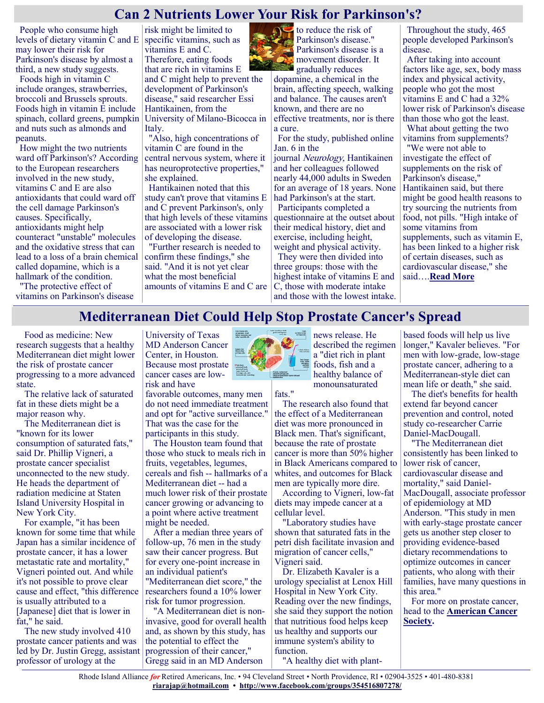### **Can 2 Nutrients Lower Your Risk for Parkinson's?**

People who consume high levels of dietary vitamin C and E may lower their risk for Parkinson's disease by almost a third, a new study suggests.

Foods high in vitamin C include oranges, strawberries, broccoli and Brussels sprouts. Foods high in vitamin E include spinach, collard greens, pumpkin and nuts such as almonds and peanuts.

How might the two nutrients ward off Parkinson's? According to the European researchers involved in the new study, vitamins C and E are also antioxidants that could ward off the cell damage Parkinson's causes. Specifically, antioxidants might help counteract "unstable" molecules and the oxidative stress that can lead to a loss of a brain chemical called dopamine, which is a hallmark of the condition.

"The protective effect of vitamins on Parkinson's disease

risk might be limited to specific vitamins, such as vitamins E and C. Therefore, eating foods that are rich in vitamins E and C might help to prevent the development of Parkinson's disease," said researcher Essi Hantikainen, from the University of Milano-Bicocca in Italy.

"Also, high concentrations of vitamin C are found in the central nervous system, where it has neuroprotective properties," she explained.

Hantikainen noted that this study can't prove that vitamins E and C prevent Parkinson's, only that high levels of these vitamins are associated with a lower risk of developing the disease.

"Further research is needed to confirm these findings," she said. "And it is not yet clear what the most beneficial amounts of vitamins E and C are



Parkinson's disease is a movement disorder. It gradually reduces dopamine, a chemical in the

brain, affecting speech, walking and balance. The causes aren't known, and there are no effective treatments, nor is there a cure.

For the study, published online Jan. 6 in the

journal Neurology, Hantikainen and her colleagues followed nearly 44,000 adults in Sweden for an average of 18 years. None had Parkinson's at the start.

Participants completed a questionnaire at the outset about their medical history, diet and exercise, including height, weight and physical activity.

They were then divided into three groups: those with the highest intake of vitamins E and C, those with moderate intake and those with the lowest intake.

Throughout the study, 465 people developed Parkinson's disease.

After taking into account factors like age, sex, body mass index and physical activity, people who got the most vitamins E and C had a 32% lower risk of Parkinson's disease than those who got the least. What about getting the two vitamins from supplements? "We were not able to investigate the effect of supplements on the risk of Parkinson's disease," Hantikainen said, but there might be good health reasons to try sourcing the nutrients from food, not pills. "High intake of some vitamins from supplements, such as vitamin E, has been linked to a higher risk of certain diseases, such as cardiovascular disease," she

said….**[Read More](https://consumer.healthday.com/1-7-two-nutrients-from-a-healthy-diet-could-lower-your-odds-for-parkinsons-2649732942.html)**

#### **Mediterranean Diet Could Help Stop Prostate Cancer's Spread**

Food as medicine: New research suggests that a healthy Mediterranean diet might lower the risk of prostate cancer progressing to a more advanced state.

The relative lack of saturated fat in these diets might be a major reason why.

The Mediterranean diet is "known for its lower consumption of saturated fats," said Dr. Phillip Vigneri, a prostate cancer specialist unconnected to the new study. He heads the department of radiation medicine at Staten Island University Hospital in New York City.

For example, "it has been known for some time that while Japan has a similar incidence of prostate cancer, it has a lower metastatic rate and mortality," Vigneri pointed out. And while it's not possible to prove clear cause and effect, "this difference is usually attributed to a [Japanese] diet that is lower in fat," he said.

The new study involved 410 prostate cancer patients and was led by Dr. Justin Gregg, assistant professor of urology at the

University of Texas MD Anderson Cancer Center, in Houston. Because most prostate cancer cases are lowrisk and have

favorable outcomes, many men do not need immediate treatment and opt for "active surveillance." That was the case for the participants in this study.

The Houston team found that those who stuck to meals rich in fruits, vegetables, legumes, cereals and fish -- hallmarks of a Mediterranean diet -- had a much lower risk of their prostate cancer growing or advancing to a point where active treatment might be needed.

After a median three years of follow-up, 76 men in the study saw their cancer progress. But for every one-point increase in an individual patient's

"Mediterranean diet score," the researchers found a 10% lower risk for tumor progression.

"A Mediterranean diet is noninvasive, good for overall health and, as shown by this study, has the potential to effect the progression of their cancer," Gregg said in an MD Anderson



fats."

news release. He described the regimen a "diet rich in plant foods, fish and a healthy balance of monounsaturated

The research also found that the effect of a Mediterranean diet was more pronounced in Black men. That's significant, because the rate of prostate cancer is more than 50% higher in Black Americans compared to whites, and outcomes for Black men are typically more dire.

According to Vigneri, low-fat diets may impede cancer at a cellular level.

"Laboratory studies have shown that saturated fats in the petri dish facilitate invasion and migration of cancer cells," Vigneri said.

Dr. Elizabeth Kavaler is a urology specialist at Lenox Hill Hospital in New York City. Reading over the new findings, she said they support the notion that nutritious food helps keep us healthy and supports our immune system's ability to function.

"A healthy diet with plant-

based foods will help us live longer," Kavaler believes. "For men with low-grade, low-stage prostate cancer, adhering to a Mediterranean-style diet can mean life or death," she said.

The diet's benefits for health extend far beyond cancer prevention and control, noted study co-researcher Carrie Daniel-MacDougall.

"The Mediterranean diet consistently has been linked to lower risk of cancer, cardiovascular disease and mortality," said Daniel-MacDougall, associate professor of epidemiology at MD Anderson. "This study in men with early-stage prostate cancer gets us another step closer to providing evidence-based dietary recommendations to optimize outcomes in cancer patients, who along with their families, have many questions in this area."

For more on prostate cancer, head to the **[American Cancer](https://www.cancer.org/cancer/prostate-cancer/about.html)  [Society.](https://www.cancer.org/cancer/prostate-cancer/about.html)**